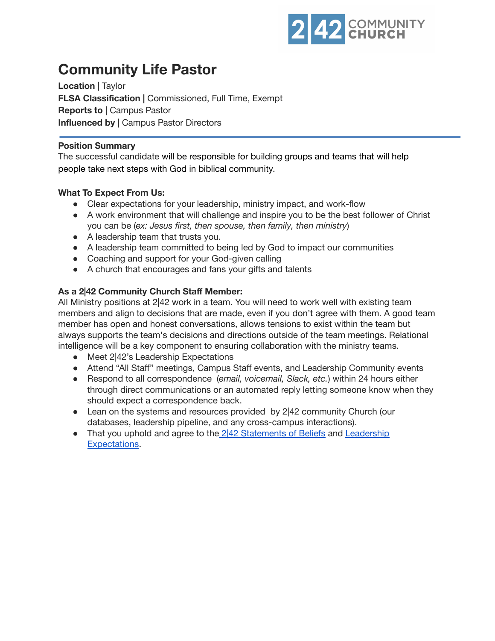

# **Community Life Pastor**

**Location |** Taylor **FLSA Classification |** Commissioned, Full Time, Exempt **Reports to |** Campus Pastor **Influenced by |** Campus Pastor Directors

### **Position Summary**

The successful candidate will be responsible for building groups and teams that will help people take next steps with God in biblical community.

## **What To Expect From Us:**

- Clear expectations for your leadership, ministry impact, and work-flow
- A work environment that will challenge and inspire you to be the best follower of Christ you can be (*ex: Jesus first, then spouse, then family, then ministry*)
- A leadership team that trusts you.
- A leadership team committed to being led by God to impact our communities
- Coaching and support for your God-given calling
- A church that encourages and fans your gifts and talents

## **As a 2|42 Community Church Staff Member:**

All Ministry positions at 2|42 work in a team. You will need to work well with existing team members and align to decisions that are made, even if you don't agree with them. A good team member has open and honest conversations, allows tensions to exist within the team but always supports the team's decisions and directions outside of the team meetings. Relational intelligence will be a key component to ensuring collaboration with the ministry teams.

- Meet 2<sup>|</sup>42's Leadership Expectations
- Attend "All Staff" meetings, Campus Staff events, and Leadership Community events
- Respond to all correspondence (*email, voicemail, Slack, etc.*) within 24 hours either through direct communications or an automated reply letting someone know when they should expect a correspondence back.
- Lean on the systems and resources provided by 2|42 community Church (our databases, leadership pipeline, and any cross-campus interactions).
- That you uphold and agree to the  $2|42$  [Statements](https://242community.com/our-beliefs/) of Beliefs and [Leadership](https://drive.google.com/file/d/1WYGoYQcwi5mkujP7fgCxpdA_nkt81ARF/view?usp=sharing) [Expectations.](https://drive.google.com/file/d/1WYGoYQcwi5mkujP7fgCxpdA_nkt81ARF/view?usp=sharing)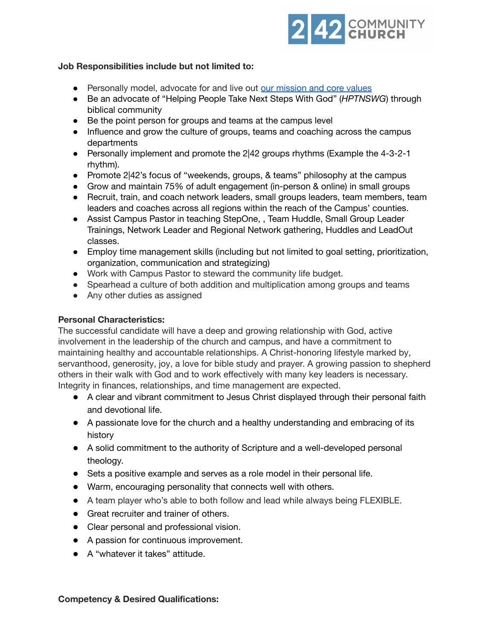

### **Job Responsibilities include but not limited to:**

- Personally model, advocate for and live out our [mission](https://drive.google.com/file/d/1HgfHE2-2NG907aj067fpmwKw-jyMIgn5/view?usp=sharing) and core values
- Be an advocate of "Helping People Take Next Steps With God" (*HPTNSWG*) through biblical community
- Be the point person for groups and teams at the campus level
- Influence and grow the culture of groups, teams and coaching across the campus departments
- Personally implement and promote the 2|42 groups rhythms (Example the 4-3-2-1 rhythm).
- Promote 2|42's focus of "weekends, groups, & teams" philosophy at the campus
- Grow and maintain 75% of adult engagement (in-person & online) in small groups
- Recruit, train, and coach network leaders, small groups leaders, team members, team leaders and coaches across all regions within the reach of the Campus' counties.
- Assist Campus Pastor in teaching StepOne, , Team Huddle, Small Group Leader Trainings, Network Leader and Regional Network gathering, Huddles and LeadOut classes.
- Employ time management skills (including but not limited to goal setting, prioritization, organization, communication and strategizing)
- Work with Campus Pastor to steward the community life budget.
- Spearhead a culture of both addition and multiplication among groups and teams
- Any other duties as assigned

#### **Personal Characteristics:**

The successful candidate will have a deep and growing relationship with God, active involvement in the leadership of the church and campus, and have a commitment to maintaining healthy and accountable relationships. A Christ-honoring lifestyle marked by, servanthood, generosity, joy, a love for bible study and prayer. A growing passion to shepherd others in their walk with God and to work effectively with many key leaders is necessary. Integrity in finances, relationships, and time management are expected.

- A clear and vibrant commitment to Jesus Christ displayed through their personal faith and devotional life.
- A passionate love for the church and a healthy understanding and embracing of its history
- A solid commitment to the authority of Scripture and a well-developed personal theology.
- Sets a positive example and serves as a role model in their personal life.
- Warm, encouraging personality that connects well with others.
- A team player who's able to both follow and lead while always being FLEXIBLE.
- Great recruiter and trainer of others.
- Clear personal and professional vision.
- A passion for continuous improvement.
- A "whatever it takes" attitude.